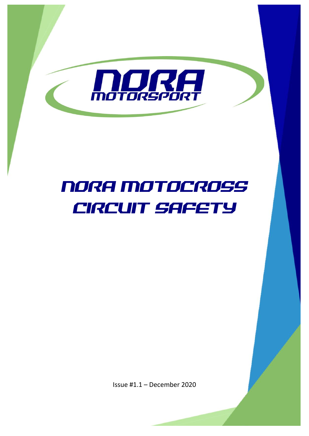

# NORA MOTOCROSS CIRCUIT SAFETY

Issue #1.1 – December 2020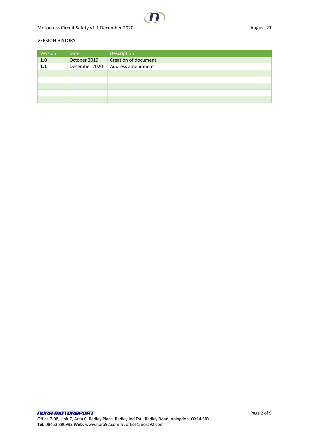#### VERSION HISTORY

| Version | Date          | Description           |
|---------|---------------|-----------------------|
| 1.0     | October 2019  | Creation of document. |
| 1.1     | December 2020 | Address amendment     |
|         |               |                       |
|         |               |                       |
|         |               |                       |
|         |               |                       |
|         |               |                       |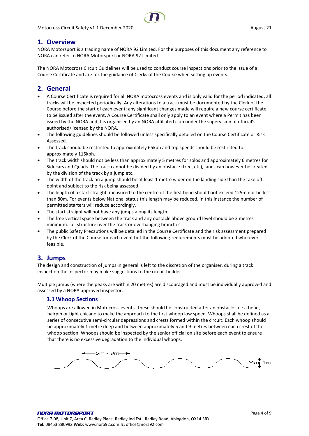

# <span id="page-3-0"></span>**1. Overview**

NORA Motorsport is a trading name of NORA 92 Limited. For the purposes of this document any reference to NORA can refer to NORA Motorsport or NORA 92 Limited.

The NORA Motocross Circuit Guidelines will be used to conduct course inspections prior to the issue of a Course Certificate and are for the guidance of Clerks of the Course when setting up events.

# <span id="page-3-1"></span>**2. General**

- A Course Certificate is required for all NORA motocross events and is only valid for the period indicated, all tracks will be inspected periodically. Any alterations to a track must be documented by the Clerk of the Course before the start of each event; any significant changes made will require a new course certificate to be issued after the event. A Course Certificate shall only apply to an event where a Permit has been issued by the NORA and it is organised by an NORA affiliated club under the supervision of official's authorised/licensed by the NORA.
- The following guidelines should be followed unless specifically detailed on the Course Certificate or Risk Assessed.
- The track should be restricted to approximately 65kph and top speeds should be restricted to approximately 115kph.
- The track width should not be less than approximately 5 metres for solos and approximately 6 metres for Sidecars and Quads. The track cannot be divided by an obstacle (tree, etc), lanes can however be created by the division of the track by a jump etc.
- The width of the track on a jump should be at least 1 metre wider on the landing side than the take off point and subject to the risk being assessed.
- The length of a start straight, measured to the centre of the first bend should not exceed 125m nor be less than 80m. For events below National status this length may be reduced, in this instance the number of permitted starters will reduce accordingly.
- The start straight will not have any jumps along its length.
- The free vertical space between the track and any obstacle above ground level should be 3 metres minimum. i.e. structure over the track or overhanging branches.
- The public Safety Precautions will be detailed in the Course Certificate and the risk assessment prepared by the Clerk of the Course for each event but the following requirements must be adopted wherever feasible.

# <span id="page-3-2"></span>**3. Jumps**

The design and construction of jumps in general is left to the discretion of the organiser, during a track inspection the inspector may make suggestions to the circuit builder.

Multiple jumps (where the peaks are within 20 metres) are discouraged and must be individually approved and assessed by a NORA approved inspector.

## <span id="page-3-3"></span>**3.1 Whoop Sections**

Whoops are allowed in Motocross events. These should be constructed after an obstacle i.e.: a bend, hairpin or tight chicane to make the approach to the first whoop low speed. Whoops shall be defined as a series of consecutive semi-circular depressions and crests formed within the circuit. Each whoop should be approximately 1 metre deep and between approximately 5 and 9 metres between each crest of the whoop section. Whoops should be inspected by the senior official on site before each event to ensure that there is no excessive degradation to the individual whoops.

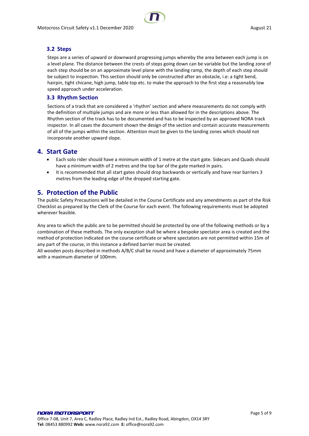

## <span id="page-4-0"></span>**3.2 Steps**

Steps are a series of upward or downward progressing jumps whereby the area between each jump is on a level plane. The distance between the crests of steps going down can be variable but the landing zone of each step should be on an approximate level plane with the landing ramp, the depth of each step should be subject to inspection. This section should only be constructed after an obstacle, i.e: a tight bend, hairpin, tight chicane, high jump, table top etc. to make the approach to the first step a reasonably low speed approach under acceleration.

## <span id="page-4-1"></span>**3.3 Rhythm Section**

Sections of a track that are considered a 'rhythm' section and where measurements do not comply with the definition of multiple jumps and are more or less than allowed for in the descriptions above. The Rhythm section of the track has to be documented and has to be inspected by an approved NORA track inspector. In all cases the document shown the design of the section and contain accurate measurements of all of the jumps within the section. Attention must be given to the landing zones which should not incorporate another upward slope.

# <span id="page-4-2"></span>**4. Start Gate**

- Each solo rider should have a minimum width of 1 metre at the start gate. Sidecars and Quads should have a minimum width of 2 metres and the top bar of the gate marked in pairs.
- It is recommended that all start gates should drop backwards or vertically and have rear barriers 3 metres from the leading edge of the dropped starting gate.

# <span id="page-4-3"></span>**5. Protection of the Public**

The public Safety Precautions will be detailed in the Course Certificate and any amendments as part of the Risk Checklist as prepared by the Clerk of the Course for each event. The following requirements must be adopted wherever feasible.

Any area to which the public are to be permitted should be protected by one of the following methods or by a combination of these methods. The only exception shall be where a bespoke spectator area is created and the method of protection indicated on the course certificate or where spectators are not permitted within 15m of any part of the course, in this instance a defined barrier must be created.

All wooden posts described in methods A/B/C shall be round and have a diameter of approximately 75mm with a maximum diameter of 100mm.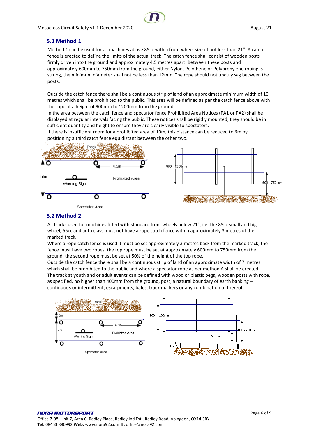## <span id="page-5-0"></span>**5.1 Method 1**

Method 1 can be used for all machines above 85cc with a front wheel size of not less than 21". A catch fence is erected to define the limits of the actual track. The catch fence shall consist of wooden posts firmly driven into the ground and approximately 4.5 metres apart. Between these posts and approximately 600mm to 750mm from the ground, either Nylon, Polythene or Polypropylene roping is strung, the minimum diameter shall not be less than 12mm. The rope should not unduly sag between the posts.

Outside the catch fence there shall be a continuous strip of land of an approximate minimum width of 10 metres which shall be prohibited to the public. This area will be defined as per the catch fence above with the rope at a height of 900mm to 1200mm from the ground.

In the area between the catch fence and spectator fence Prohibited Area Notices (PA1 or PA2) shall be displayed at regular intervals facing the public. These notices shall be rigidly mounted; they should be in sufficient quantity and height to ensure they are clearly visible to spectators.

If there is insufficient room for a prohibited area of 10m, this distance can be reduced to 6m by positioning a third catch fence equidistant between the other two.



# <span id="page-5-1"></span>**5.2 Method 2**

All tracks used for machines fitted with standard front wheels below 21", i.e: the 85cc small and big wheel, 65cc and auto class must not have a rope catch fence within approximately 3 metres of the marked track.

Where a rope catch fence is used it must be set approximately 3 metres back from the marked track, the fence must have two ropes, the top rope must be set at approximately 600mm to 750mm from the ground, the second rope must be set at 50% of the height of the top rope.

Outside the catch fence there shall be a continuous strip of land of an approximate width of 7 metres which shall be prohibited to the public and where a spectator rope as per method A shall be erected. The track at youth and or adult events can be defined with wood or plastic pegs, wooden posts with rope, as specified, no higher than 400mm from the ground, post, a natural boundary of earth banking continuous or intermittent, escarpments, bales, track markers or any combination of thereof.

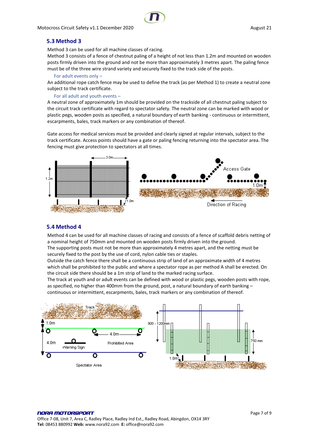

## <span id="page-6-0"></span>**5.3 Method 3**

Method 3 can be used for all machine classes of racing.

Method 3 consists of a fence of chestnut paling of a height of not less than 1.2m and mounted on wooden posts firmly driven into the ground and not be more than approximately 3 metres apart. The paling fence must be of the three wire strand variety and securely fixed to the track side of the posts.

#### For adult events only –

An additional rope catch fence may be used to define the track (as per Method 1) to create a neutral zone subject to the track certificate.

#### For all adult and youth events –

A neutral zone of approximately 1m should be provided on the trackside of all chestnut paling subject to the circuit track certificate with regard to spectator safety. The neutral zone can be marked with wood or plastic pegs, wooden posts as specified, a natural boundary of earth banking - continuous or intermittent, escarpments, bales, track markers or any combination of thereof.

Gate access for medical services must be provided and clearly signed at regular intervals, subject to the track certificate. Access points should have a gate or paling fencing returning into the spectator area. The fencing must give protection to spectators at all times.



## <span id="page-6-1"></span>**5.4 Method 4**

Method 4 can be used for all machine classes of racing and consists of a fence of scaffold debris netting of a nominal height of 750mm and mounted on wooden posts firmly driven into the ground.

The supporting posts must not be more than approximately 4 metres apart, and the netting must be securely fixed to the post by the use of cord, nylon cable ties or staples.

Outside the catch fence there shall be a continuous strip of land of an approximate width of 4 metres which shall be prohibited to the public and where a spectator rope as per method A shall be erected. On the circuit side there should be a 1m strip of land to the marked racing surface.

The track at youth and or adult events can be defined with wood or plastic pegs, wooden posts with rope, as specified, no higher than 400mm from the ground, post, a natural boundary of earth banking – continuous or intermittent, escarpments, bales, track markers or any combination of thereof.

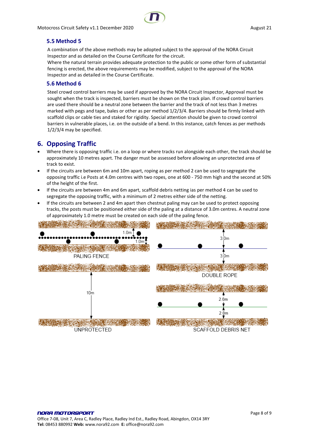## <span id="page-7-0"></span>**5.5 Method 5**

A combination of the above methods may be adopted subject to the approval of the NORA Circuit Inspector and as detailed on the Course Certificate for the circuit.

Where the natural terrain provides adequate protection to the public or some other form of substantial fencing is erected, the above requirements may be modified, subject to the approval of the NORA Inspector and as detailed in the Course Certificate.

## <span id="page-7-1"></span>**5.6 Method 6**

Steel crowd control barriers may be used if approved by the NORA Circuit Inspector, Approval must be sought when the track is inspected, barriers must be shown on the track plan. If crowd control barriers are used there should be a neutral zone between the barrier and the track of not less than 3 metres marked with pegs and tape, bales or other as per method 1/2/3/4. Barriers should be firmly linked with scaffold clips or cable ties and staked for rigidity. Special attention should be given to crowd control barriers in vulnerable places, i.e. on the outside of a bend. In this instance, catch fences as per methods 1/2/3/4 may be specified.

# <span id="page-7-2"></span>**6. Opposing Traffic**

- Where there is opposing traffic i.e. on a loop or where tracks run alongside each other, the track should be approximately 10 metres apart. The danger must be assessed before allowing an unprotected area of track to exist.
- If the circuits are between 6m and 10m apart, roping as per method 2 can be used to segregate the opposing traffic i.e Posts at 4.0m centres with two ropes, one at 600 - 750 mm high and the second at 50% of the height of the first.
- If the circuits are between 4m and 6m apart, scaffold debris netting ias per method 4 can be used to segregate the opposing traffic, with a minimum of 2 metres either side of the netting.
- If the circuits are between 2 and 4m apart then chestnut paling may can be used to protect opposing tracks, the posts must be positioned either side of the paling at a distance of 3.0m centres. A neutral zone of approximately 1.0 metre must be created on each side of the paling fence.